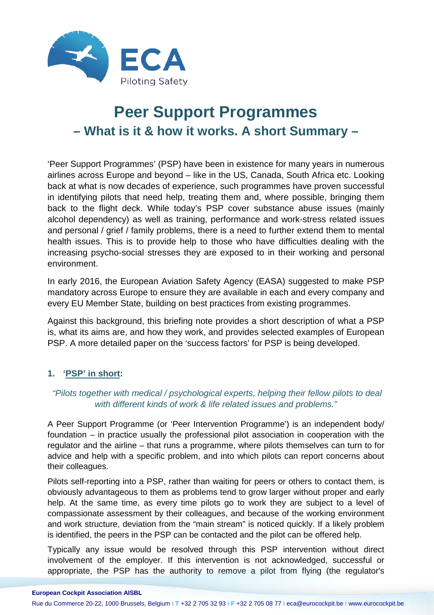

# **Peer Support Programmes – What is it & how it works. A short Summary –**

'Peer Support Programmes' (PSP) have been in existence for many years in numerous airlines across Europe and beyond – like in the US, Canada, South Africa etc. Looking back at what is now decades of experience, such programmes have proven successful in identifying pilots that need help, treating them and, where possible, bringing them back to the flight deck. While today's PSP cover substance abuse issues (mainly alcohol dependency) as well as training, performance and work-stress related issues and personal / grief / family problems, there is a need to further extend them to mental health issues. This is to provide help to those who have difficulties dealing with the increasing psycho-social stresses they are exposed to in their working and personal environment.

In early 2016, the European Aviation Safety Agency (EASA) suggested to make PSP mandatory across Europe to ensure they are available in each and every company and every EU Member State, building on best practices from existing programmes.

Against this background, this briefing note provides a short description of what a PSP is, what its aims are, and how they work, and provides selected examples of European PSP. A more detailed paper on the 'success factors' for PSP is being developed.

# **1. 'PSP' in short:**

## *"Pilots together with medical / psychological experts, helping their fellow pilots to deal with different kinds of work & life related issues and problems."*

A Peer Support Programme (or 'Peer Intervention Programme') is an independent body/ foundation – in practice usually the professional pilot association in cooperation with the regulator and the airline – that runs a programme, where pilots themselves can turn to for advice and help with a specific problem, and into which pilots can report concerns about their colleagues.

Pilots self-reporting into a PSP, rather than waiting for peers or others to contact them, is obviously advantageous to them as problems tend to grow larger without proper and early help. At the same time, as every time pilots go to work they are subject to a level of compassionate assessment by their colleagues, and because of the working environment and work structure, deviation from the "main stream" is noticed quickly. If a likely problem is identified, the peers in the PSP can be contacted and the pilot can be offered help.

Typically any issue would be resolved through this PSP intervention without direct involvement of the employer. If this intervention is not acknowledged, successful or appropriate, the PSP has the authority to remove a pilot from flying (the regulator's

Rue du Commerce 20-22, 1000 Brussels, Belgium I **T** +32 2 705 32 93 I **F** +32 2 705 08 77 I eca@eurocockpit.be I www.eurocockpit.be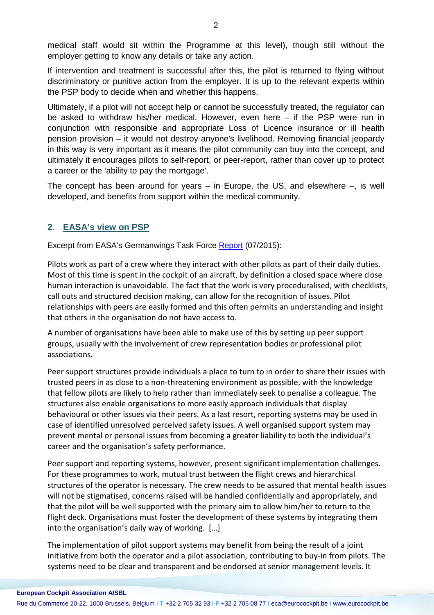medical staff would sit within the Programme at this level), though still without the employer getting to know any details or take any action.

If intervention and treatment is successful after this, the pilot is returned to flying without discriminatory or punitive action from the employer. It is up to the relevant experts within the PSP body to decide when and whether this happens.

Ultimately, if a pilot will not accept help or cannot be successfully treated, the regulator can be asked to withdraw his/her medical. However, even here – if the PSP were run in conjunction with responsible and appropriate Loss of Licence insurance or ill health pension provision – it would not destroy anyone's livelihood. Removing financial jeopardy in this way is very important as it means the pilot community can buy into the concept, and ultimately it encourages pilots to self-report, or peer-report, rather than cover up to protect a career or the 'ability to pay the mortgage'.

The concept has been around for years  $-$  in Europe, the US, and elsewhere  $-$ , is well developed, and benefits from support within the medical community.

#### **2. EASA's view on PSP**

Excerpt from EASA's Germanwings Task Force [Report](http://ec.europa.eu/transport/modes/air/news/doc/2015-07-17-germanwings-report/germanwings-task-force-final-report.pdf) (07/2015):

Pilots work as part of a crew where they interact with other pilots as part of their daily duties. Most of this time is spent in the cockpit of an aircraft, by definition a closed space where close human interaction is unavoidable. The fact that the work is very proceduralised, with checklists, call outs and structured decision making, can allow for the recognition of issues. Pilot relationships with peers are easily formed and this often permits an understanding and insight that others in the organisation do not have access to.

A number of organisations have been able to make use of this by setting up peer support groups, usually with the involvement of crew representation bodies or professional pilot associations.

Peer support structures provide individuals a place to turn to in order to share their issues with trusted peers in as close to a non-threatening environment as possible, with the knowledge that fellow pilots are likely to help rather than immediately seek to penalise a colleague. The structures also enable organisations to more easily approach individuals that display behavioural or other issues via their peers. As a last resort, reporting systems may be used in case of identified unresolved perceived safety issues. A well organised support system may prevent mental or personal issues from becoming a greater liability to both the individual's career and the organisation's safety performance.

Peer support and reporting systems, however, present significant implementation challenges. For these programmes to work, mutual trust between the flight crews and hierarchical structures of the operator is necessary. The crew needs to be assured that mental health issues will not be stigmatised, concerns raised will be handled confidentially and appropriately, and that the pilot will be well supported with the primary aim to allow him/her to return to the flight deck. Organisations must foster the development of these systems by integrating them into the organisation's daily way of working. […]

The implementation of pilot support systems may benefit from being the result of a joint initiative from both the operator and a pilot association, contributing to buy-in from pilots. The systems need to be clear and transparent and be endorsed at senior management levels. It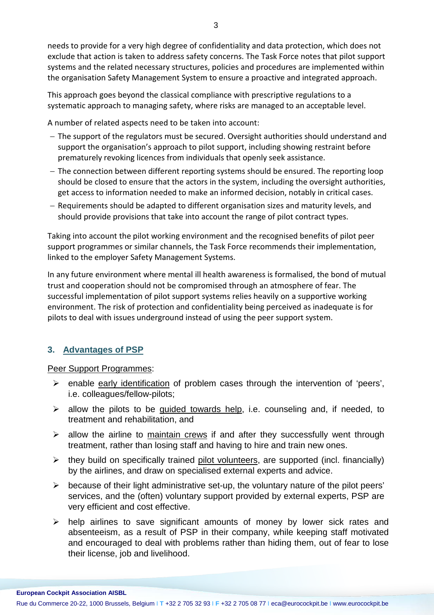needs to provide for a very high degree of confidentiality and data protection, which does not exclude that action is taken to address safety concerns. The Task Force notes that pilot support systems and the related necessary structures, policies and procedures are implemented within the organisation Safety Management System to ensure a proactive and integrated approach.

This approach goes beyond the classical compliance with prescriptive regulations to a systematic approach to managing safety, where risks are managed to an acceptable level.

A number of related aspects need to be taken into account:

- − The support of the regulators must be secured. Oversight authorities should understand and support the organisation's approach to pilot support, including showing restraint before prematurely revoking licences from individuals that openly seek assistance.
- − The connection between different reporting systems should be ensured. The reporting loop should be closed to ensure that the actors in the system, including the oversight authorities, get access to information needed to make an informed decision, notably in critical cases.
- − Requirements should be adapted to different organisation sizes and maturity levels, and should provide provisions that take into account the range of pilot contract types.

Taking into account the pilot working environment and the recognised benefits of pilot peer support programmes or similar channels, the Task Force recommends their implementation, linked to the employer Safety Management Systems.

In any future environment where mental ill health awareness is formalised, the bond of mutual trust and cooperation should not be compromised through an atmosphere of fear. The successful implementation of pilot support systems relies heavily on a supportive working environment. The risk of protection and confidentiality being perceived as inadequate is for pilots to deal with issues underground instead of using the peer support system.

# **3. Advantages of PSP**

### Peer Support Programmes:

- $\triangleright$  enable early identification of problem cases through the intervention of 'peers', i.e. colleagues/fellow-pilots;
- $\triangleright$  allow the pilots to be guided towards help, i.e. counseling and, if needed, to treatment and rehabilitation, and
- $\triangleright$  allow the airline to maintain crews if and after they successfully went through treatment, rather than losing staff and having to hire and train new ones.
- $\triangleright$  they build on specifically trained pilot volunteers, are supported (incl. financially) by the airlines, and draw on specialised external experts and advice.
- $\triangleright$  because of their light administrative set-up, the voluntary nature of the pilot peers' services, and the (often) voluntary support provided by external experts, PSP are very efficient and cost effective.
- $\triangleright$  help airlines to save significant amounts of money by lower sick rates and absenteeism, as a result of PSP in their company, while keeping staff motivated and encouraged to deal with problems rather than hiding them, out of fear to lose their license, job and livelihood.